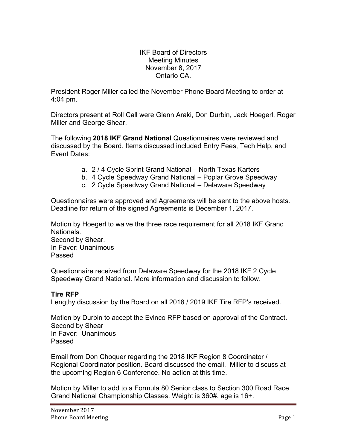IKF Board of Directors Meeting Minutes November 8, 2017 Ontario CA.

President Roger Miller called the November Phone Board Meeting to order at 4:04 pm.

Directors present at Roll Call were Glenn Araki, Don Durbin, Jack Hoegerl, Roger Miller and George Shear.

The following **2018 IKF Grand National** Questionnaires were reviewed and discussed by the Board. Items discussed included Entry Fees, Tech Help, and Event Dates:

- a. 2 / 4 Cycle Sprint Grand National North Texas Karters
- b. 4 Cycle Speedway Grand National Poplar Grove Speedway
- c. 2 Cycle Speedway Grand National Delaware Speedway

Questionnaires were approved and Agreements will be sent to the above hosts. Deadline for return of the signed Agreements is December 1, 2017.

Motion by Hoegerl to waive the three race requirement for all 2018 IKF Grand **Nationals** Second by Shear. In Favor: Unanimous Passed

Questionnaire received from Delaware Speedway for the 2018 IKF 2 Cycle Speedway Grand National. More information and discussion to follow.

## **Tire RFP**

Lengthy discussion by the Board on all 2018 / 2019 IKF Tire RFP's received.

Motion by Durbin to accept the Evinco RFP based on approval of the Contract. Second by Shear In Favor: Unanimous Passed

Email from Don Choquer regarding the 2018 IKF Region 8 Coordinator / Regional Coordinator position. Board discussed the email. Miller to discuss at the upcoming Region 6 Conference. No action at this time.

Motion by Miller to add to a Formula 80 Senior class to Section 300 Road Race Grand National Championship Classes. Weight is 360#, age is 16+.